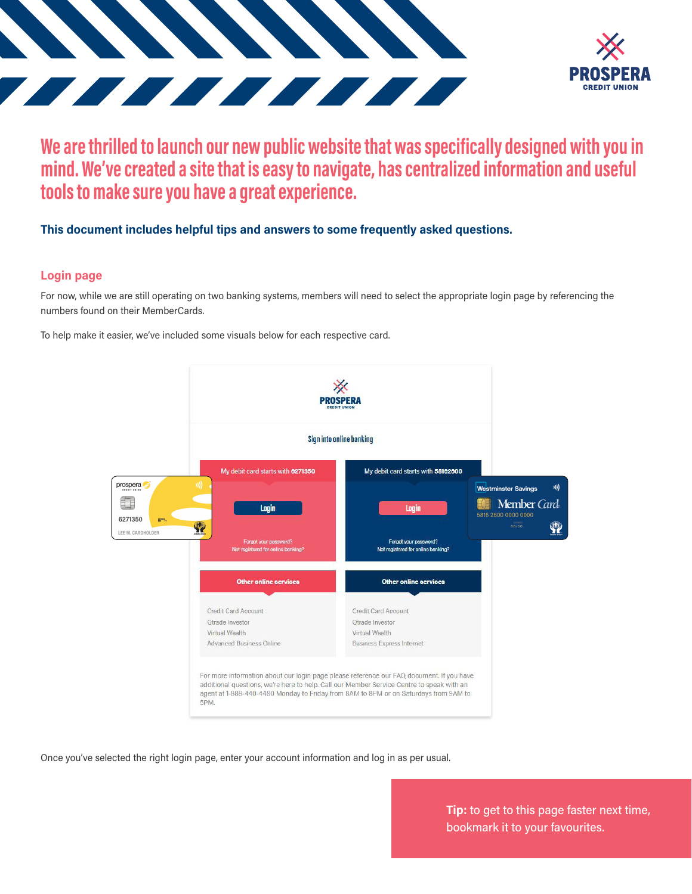



# **We are thrilled to launch our new public website that was specifically designed with you in mind. We've created a site that is easy to navigate, has centralized information and useful tools to make sure you have a great experience.**

## **This document includes helpful tips and answers to some frequently asked questions.**

### **Login page**

For now, while we are still operating on two banking systems, members will need to select the appropriate login page by referencing the numbers found on their MemberCards.

To help make it easier, we've included some visuals below for each respective card.



Once you've selected the right login page, enter your account information and log in as per usual.

**Tip:** to get to this page faster next time, bookmark it to your favourites.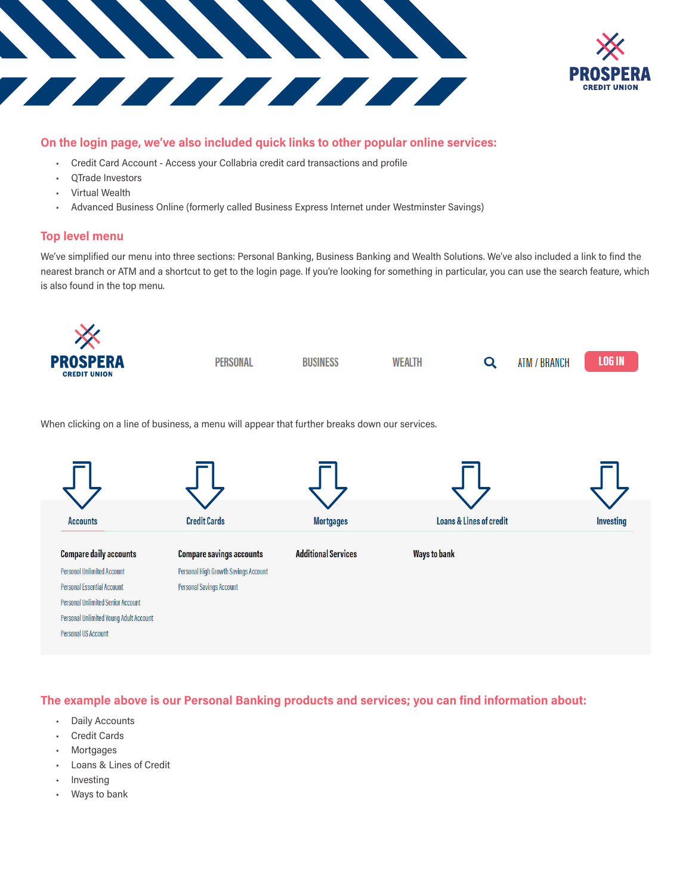



#### **On the login page, we've also included quick links to other popular online services:**

- Credit Card Account Access your Collabria credit card transactions and profile
- QTrade Investors
- Virtual Wealth
- Advanced Business Online (formerly called Business Express Internet under Westminster Savings)

#### **Top level menu**

We've simplified our menu into three sections: Personal Banking, Business Banking and Wealth Solutions. We've also included a link to find the nearest branch or ATM and a shortcut to get to the login page. If you're looking for something in particular, you can use the search feature, which is also found in the top menu.



When clicking on a line of business, a menu will appear that further breaks down our services.



**The example above is our Personal Banking products and services; you can find information about:**

- **Daily Accounts**
- Credit Cards
- **Mortgages**
- Loans & Lines of Credit
- **Investing**
- Ways to bank